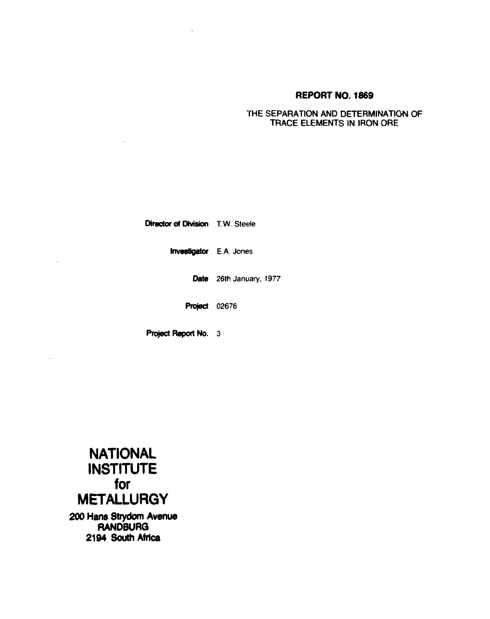# **REPORT NO. 1869**

# THE SEPARATION AND DETERMINATION OF TRACE ELEMENTS IN IRON ORE

Director of Division T.W. Steele

Investigator E.A. Jones

Date 26th January, 1977

Project 02676

Project Report No. 3



 $\label{eq:2.1} \frac{1}{2} \int_{\mathbb{R}^3} \left| \frac{d\mu}{\mu} \right|^2 \, d\mu = \frac{1}{2} \int_{\mathbb{R}^3} \left| \frac{d\mu}{\mu} \right|^2 \, d\mu = \frac{1}{2} \int_{\mathbb{R}^3} \left| \frac{d\mu}{\mu} \right|^2 \, d\mu.$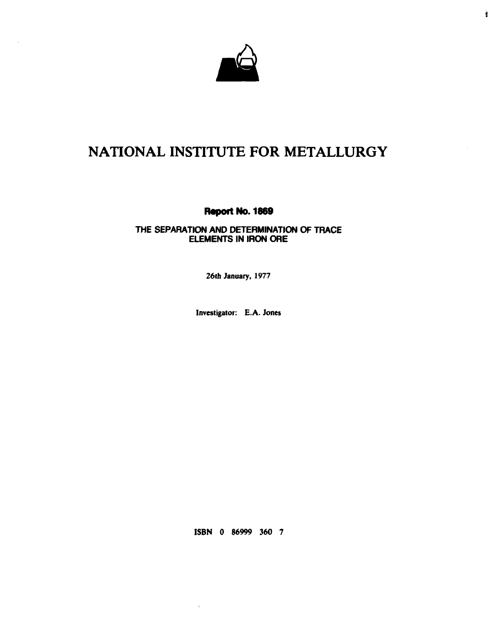

Ù

# **NATIONAL INSTITUTE FOR METALLURGY**

**Report No. 1869** 

# **THE SEPARATION AND DETERMINATION OF TRACE ELEMENTS IN IRON ORE**

**26th January, 1977** 

**Investigator: E.A. Jones** 

**ISBN 0 86999 360 7** 

 $\mathbf{r}$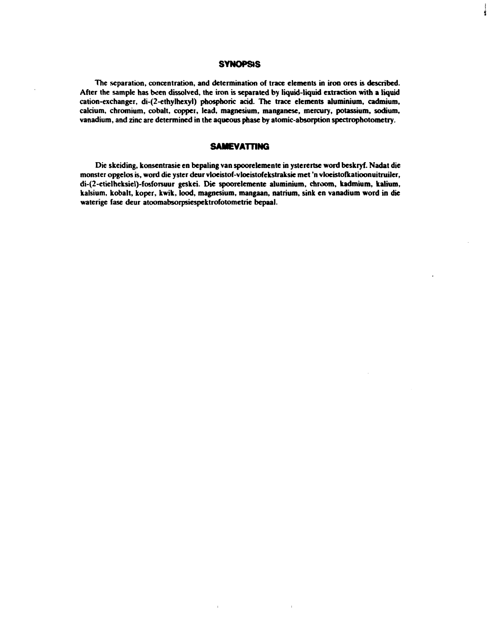# **SYNOPSIS**

ý

**The separation, concentration, and determination of trace elements in iron ores is described. After the sample has been dissolved, the iron is separated by liquid-liquid extraction with a liquid cation-exchanger, di-(2-ethylhexyl) phosphoric acid. The trace elements aluminium, cadmium, calcium, chromium, cobalt, copper, lead, magnesium, manganese, mercury, potassium, sodium, vanadium, and zinc are determined in the aqueous phase by atomic-absorption spectrophotometry.** 

# **SAMEVATTING**

**Die skeiding, konsentrasie en bepaling van spoorelemente in ysterertse word beskryf. Nadat die monster opgelos is, word die yster deur vloeistof-vloeistofekstraksie met 'n vloeistofkatioonuitruiler, di-(2-etielheksiel)-fosforsuur geskei. Die spoorelemente aluminium, chroom, kadmium, kalium, kalsium, kobalt, koper, kwik, lood, magnesium, mangaan, natrium, sink en vanadium word in die waterige fase deur atoomabsorpsiespektrofotometrie bepaal.**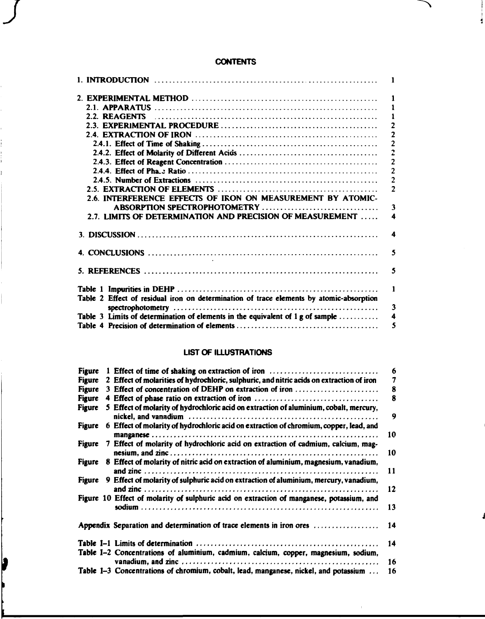# **CONTENTS**

ヽ

J.

|                                                                                         | 1              |
|-----------------------------------------------------------------------------------------|----------------|
|                                                                                         | 1              |
| 2.2. REAGENTS                                                                           | 1              |
|                                                                                         | $\overline{2}$ |
|                                                                                         | $\overline{2}$ |
|                                                                                         | $\overline{c}$ |
|                                                                                         | $\overline{c}$ |
|                                                                                         | $\overline{2}$ |
|                                                                                         | $\overline{2}$ |
|                                                                                         | $\overline{c}$ |
|                                                                                         | $\overline{2}$ |
| 2.6. INTERFERENCE EFFECTS OF IRON ON MEASUREMENT BY ATOMIC-                             |                |
| ABSORPTION SPECTROPHOTOMETRY                                                            | 3              |
| 2.7. LIMITS OF DETERMINATION AND PRECISION OF MEASUREMENT                               | 4              |
|                                                                                         | 4              |
|                                                                                         | 5              |
|                                                                                         | 5              |
|                                                                                         | 1              |
| Table 2 Effect of residual iron on determination of trace elements by atomic-absorption |                |
|                                                                                         | 3              |
| Table 3 Limits of determination of elements in the equivalent of 1 g of sample          | 4              |
|                                                                                         | 5              |

# **LIST OF ILLUSTRATIONS**

| <b>Figure</b> | 1 Effect of time of shaking on extraction of iron                                         | 6  |
|---------------|-------------------------------------------------------------------------------------------|----|
| <b>Figure</b> | 2 Effect of molarities of hydrochloric, sulphuric, and nitric acids on extraction of iron | 7  |
| Figure        | 3 Effect of concentration of DEHP on extraction of iron                                   | 8  |
| <b>Figure</b> | 4 Effect of phase ratio on extraction of iron                                             | 8  |
| <b>Figure</b> | 5 Effect of molarity of hydrochloric acid on extraction of aluminium, cobalt, mercury,    |    |
|               |                                                                                           | 9  |
| <b>Figure</b> | 6 Effect of molarity of hydrochloric acid on extraction of chromium, copper, lead, and    |    |
|               |                                                                                           | 10 |
| <b>Figure</b> | 7 Effect of molarity of hydrochloric acid on extraction of cadmium, calcium, mag-         |    |
|               |                                                                                           | 10 |
| Figure        | 8 Effect of molarity of nitric acid on extraction of aluminium, magnesium, vanadium,      |    |
|               |                                                                                           | 11 |
| <b>Figure</b> | 9 Effect of molarity of sulphuric acid on extraction of aluminium, mercury, vanadium,     |    |
|               |                                                                                           | 12 |
|               | Figure 10 Effect of molarity of sulphuric acid on extraction of manganese, potassium, and |    |
|               |                                                                                           | 13 |
|               | Appendix Separation and determination of trace elements in iron ores                      | 14 |
|               |                                                                                           | 14 |
|               | Table I-2 Concentrations of aluminium, cadmium, calcium, copper, magnesium, sodium,       |    |
|               |                                                                                           | 16 |
|               | Table 1-3 Concentrations of chromium, cobalt, lead, manganese, nickel, and potassium      | 16 |

 $\bar{1}$ 

þ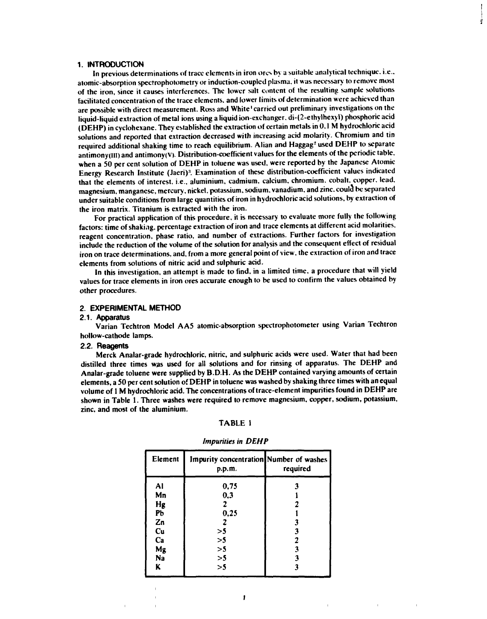### **1. INTRODUCTION**

**In previous determinations of trace elements in iron ores by a suitable analytical technique, i.e., atomic-absorption spectrophotometry or induction-coupled plasma, it was necessary to remove most of the iron, since it causes interferences. The lower salt content of the resulting sample solutions facilitated concentration of the trace elements, and lower limits of determination were achieved than are possible with direct measurement. Ross and White' carried out preliminary investigations on the liquid-liquid extraction of metal ions using a liquid ion-exchanger. di-(2-ethylhexyl) phosphoric acid (DEHP) in cyclohexane. They established the extraction of certain metals in 0.1 M hydrochloric acid solutions and reported that extraction decreased with increasing acid molarity. Chromium and tin**  required additional shaking time to reach equilibrium. Alian and Haggag<sup>2</sup> used DEHP to separate **antimony(HI) and antimony(V). Distribution-coefficient values for the elements of the periodic table, when a 50 per cent solution of DEHP in toluene was used, were reported by the Japanese Atomic Energy Research Institute (Jaeri)'. Examination of these distribution-coefficient values indicated that the elements of interest, i.e., aluminium, cadmium, calcium, chromium, cobalt, copper, lead, magnesium, manganese, mercury, nickel, potassium, sodium, vanadium, and zinc. could\* be separated under suitable conditions from large quantities of iron in hydrochloric acid solutions, by extraction of the iron matrix. Titanium is extracted with the iron.** 

*i* 

**For practical application of this procedure, it is necessary to evaluate more fully the following factors: time of shaking, percentage extraction of iron and trace elements at different acid molarities, reagent concentration, phase ratio, and number of extractions. Further factors for investigation include the reduction of the volume of the solution for analysis and the consequent effect of residual iron on trace determinations, and, from a more general point of view, the extraction of iron and trace elements from solutions of nitric acid and sulphuric acid.** 

**In this investigation, an attempt is made to find, in a limited time, a procedure that will yield values for trace elements in iron ores accurate enough to be used to confirm the values obtained by other procedures.** 

### **2. EXPERIMENTAL METHOD**

#### **2.1. Apparatus**

**Varian Techtron Model AA5 atomic-absorption spectrophotometer using Varian Techtron hollow-cathode lamps.** 

#### **2.2. Reagents**

**Merck Analar-grade hydrochloric, nitric, and sulphuric acids were used. Water that had been distilled three times was used for all solutions and for rinsing of apparatus. The DEHP and Analar-grade toluene were supplied by B.D.H. As the DEHP contained varying amounts of certain elements, a 50 per cent solution of DEHP in toluene was washed by shaking three times with an equal volume of 1M hydrochloric acid. The concentrations of trace-element impurities found in DEHP are shown in Table 1. Three washes were required to remove magnesium, copper, sodium, potassium, zinc, and most of the aluminium.** 

#### **TABLE 1**

| Element | Impurity concentration Number of washes<br>p.p.m. | required |
|---------|---------------------------------------------------|----------|
| Al      | 0,75                                              |          |
| Mn      | 0,3                                               |          |
| Hg      | 7                                                 |          |
| Pb      | 0,25                                              |          |
| Zn      |                                                   |          |
| Cu      | >5                                                |          |
| Ca      | >5                                                |          |
| Mg      | >5                                                |          |
| Na      | >5                                                |          |
| ĸ       | >5                                                |          |

**1** 

### *Impurities in DEHP*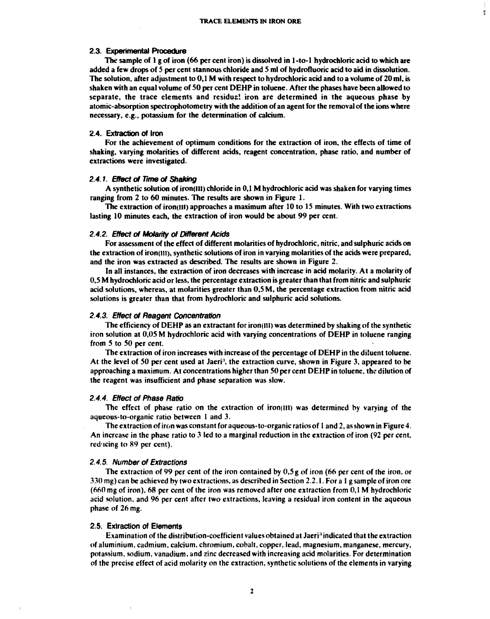4

#### **2.3. Experimental Procedure**

**The sample of 1 g of iron (66 per cent iron) is dissolved in 1-to-l hydrochloric acid to which are added a few drops of S per cent stannous chloride and 5 ml of hydrofluoric acid to aid in dissolution. The solution, after adjustment to 0,1 M with respect to hydrochloric acid and to a volume of 20 ml, is shaken with an equal volume of SO per cent DEHP in toluene. After the phases have been allowed to separate, the trace elements and residua! iron are determined in the aqueous phase by atomic-absorption spectrophotometry with the addition of an agent for the removal of the ions where necessary, e.g., potassium for the determination of calcium.** 

#### **2.4. Extraction of Iron**

For the achievement of optimum conditions for the extraction of iron, the effects of time of **shaking, varying molarities of different acids, reagent concentration, phase ratio, and number of extractions were investigated.** 

#### *2.4.1. Effect of Time of Shaking*

**A synthetic solution of iron(III) chloride in 0,1 M hydrochloric acid was shaken for varying times ranging from 2 to 60 minutes. The results are shown in Figure 1.** 

**The extraction of iron(lll) approaches a maximum after 10 to IS minutes. With two extractions lasting 10 minutes each, the extraction of iron would be about 99 per cent.** 

#### *2.4.2. Effect of Molarity of Different Acids*

**For assessment of the effect of different molarities of hydrochloric, nitric, and sulphuric acids on the extraction of iron(iil), synthetic solutions of iron in varying molarities of the acids were prepared, and the iron was extracted as described. The results are shown in Figure 2.** 

**In all instances, the extraction of iron decreases with increase in acid molarity. At a molarity of 0,5 M hydrochloric acid or less, the percentage extraction is greater than that from nitric and sulphuric acid solutions, whereas, at molarities greater than 0,5 M, the percentage extraction from nitric acid solutions is greater than that from hydrochloric and sulphuric acid solutions.** 

#### *2.4.3. Effect of Reagent Concentration*

**The efficiency of DEHP as an extractant for iron(ill) was determined by shaking of the synthetic iron solution at 0,05 M hydrochloric acid with varying concentrations of DEHP in toluene ranging from 5 to 50 per cent.** 

**The extraction of iron increases with increase of the percentage of DEHP in the diluent toluene. At the level of 50 per cent used at Jaeri', the extraction curve, shown in Figure 3, appeared to be approaching a maximum. At concentrations higher than SO per cent DEHP in toluene, the dilution of the reagent was insufficient and phase separation was slow.** 

#### *2.4.4. Effect of Phase Ratio*

**The effect of phase ratio on the extraction of iron(iil) was determined by varying of the aqueous-to-organic ratio between 1 and 3.** 

**The extraction of iron was constant for aqueous-to-organic ratios of 1 and 2, as shown in Figure 4. An increase in the phase ratio to 3 led to a marginal reduction in the extraction of iron (92 per cent, reducing to 89 per cent).** 

#### *2.4.5. Number of Extractions*

**The extraction of 99 per cent of the iron contained by 0,5 g of iron (66 per cent of the iron, or 330 mg) can be achieved by two extractions, as described in Section 2.2.1. For a 1 g sample of iron ore (660 mg of iron), 68 per cent of the iron was removed after one extraction from 0,1 M hydrochloric acid solution, and 96 per cent after two extractions, leaving a residual iron content in the aqueous phase of 26 mg.** 

#### **2.5. Extraction of Elements**

**Examination of the distribution-coefficient values obtained at Jaeri' indicated that the extraction of aluminium, cadmium, calcium, chromium, cobalt, copper, lead, magnesium, manganese, mercury, potassium, sodium, vanadium, and zinc decreased with increasing acid molarities. For determination of the precise effect of acid molarity on the extraction, synthetic solutions of the elements in varying**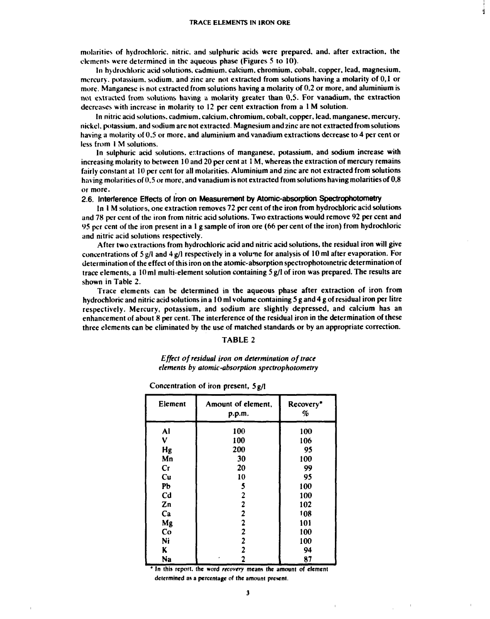**si** 

**molarities of hydrochloric, nitric, and sulphuric acids were prepared, and, after extraction, the elements were determined in the aqueous phase (Figures 5 to 10).** 

**In hydrochloric acid solutions, cadmium, calcium, chromium, cobalt, copper, lead, magnesium, mercury, potassium, sodium, and zinc are not extracted from solutions having a molarity of 0,1 or more. Manganese is not extracted from solutions having a molarity of 0,2 or more, and aluminium is not extracted from solutions having a molarity greater than 0,5. For vanadium, the extraction decreases with increase in molarity to 12 per cent extraction from a 1 M solution.** 

**In nitric acid solutions, cadmium, calcium, chromium, cobalt, copper, lead, manganese, mercury, nickel, potassium, and sodium are not extracted. Magnesium and zinc are not extracted from solutions having a molarity of 0.5 or more, and aluminium and vanadium extractions decrease to 4 per cent or less from 1 M solutions.** 

**In sulphuric acid solutions, extractions of manganese, potassium, and sodium increase with increasing molarity to between 10 and 20 per cent at 1 M, whereas the extraction of mercury remains fairly constant at 10 per cent for all molarities. Aluminium and zinc are not extracted from solutions having molarities of 0,5 or more, and vanadium is not extracted from solutions having molarities of 0,8 or more.** 

### **2.6. Interference Effects of Iron on Measurement by Atomic-absorption Spectrophotometry**

**In 1 M solutions, one extraction removes 72 per cent of the iron from hydrochloric acid solutions and 78 per cent of the iron from nitric acid solutions. Two extractions would remove 92 per cent and 95 per cent of the iron present in a 1 g sample of iron ore (66 per cent of the iron) from hydrochloric and nitric acid solutions respectively.** 

**After two extractions from hydrochloric acid and nitric acid solutions, the residual iron will give**  concentrations of 5 g/l and 4 g/l respectively in a volume for analysis of 10 ml after evaporation. For **determination of the effect of this iron on the atomic-absorption spectrophotometric determination of trace elements, a 10 ml multi-element solution containing 5 g/1 of iron was prepared. The results are shown in Table 2.** 

**Trace elements can be determined in the aqueous phase after extraction of iron from hydrochloric and nitric acid solutions in a 10 ml volume containing 5 g and 4 g of residual iron per litre respectively. Mercury, potassium, and sodium are slightly depressed, and calcium has an enhancement of about 8 per cent. The interference of the residual iron in the determination of these three elements can be eliminated by the use of matched standards or by an appropriate correction.** 

### **TABLE 2**

*Effect of residual iron on determination of trace elements by atomic-absorption spectrophotometry* 

| Concentration of iron present, 5 g/l |  |  |  |
|--------------------------------------|--|--|--|
|--------------------------------------|--|--|--|

| Element        | Amount of element,<br>p.p.m. | Recovery*<br>% |
|----------------|------------------------------|----------------|
| Al             | 100                          | 100            |
| ٧              | 100                          | 106            |
| Hg             | 200                          | 95             |
| Mn             | 30                           | 100            |
| Cr             | 20                           | 99             |
| Cu             | 10                           | 95             |
| Pb             | 5                            | 100            |
| C <sub>d</sub> | $\overline{2}$               | 100            |
| Zn             | 2                            | 102            |
| Ca             | $\overline{2}$               | 108            |
| Mg             | 2                            | 101            |
| Co             | 2                            | 100            |
| Ní             | 2                            | 100            |
| K              | 2                            | 94             |
| Na             | 2                            | 87             |

**\* In this report, the word** *recovery* **means the amount of element determined as a percentage of the amount present.**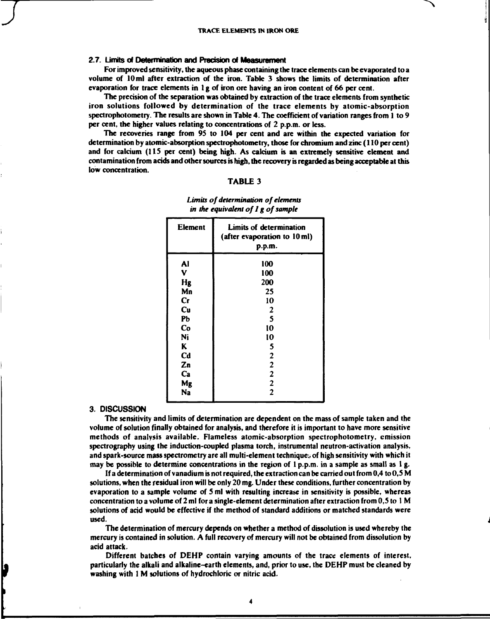# **2.7. Limits of Determination and Precision of Measurement**

**For improved sensitivity, the aqueous phase containing the trace elements can be evaporated to a volume of 10 ml after extraction of the iron. Table 3 shows the limits of determination after evaporation for trace elements in 1 g of iron ore having an iron content of 66 per cent.** 

**The precision of the separation was obtained by extraction of the trace elements from synthetic iron solutions followed by determination of the trace elements by atomic-absorption spectrophotometry. The results are shown in Table 4. The coefficient of variation ranges from 1 to 9 per cent, the higher values relating to concentrations of 2 p.p.m. or less.** 

**The recoveries range from 95 to 104 per cent and are within the expected variation for determination by atomic-absorption spectrophotometry, those for chromium and zinc (110 per cent) and for calcium (115 per cent) being high. As calcium is an extremely sensitive element and contamination from acids and other sources is high, the recovery is regarded as being acceptable at this low concentration.** 

#### **TABLE 3**

| Element                | Limits of determination<br>(after evaporation to 10 ml)<br>p.p.m. |
|------------------------|-------------------------------------------------------------------|
| Al                     | 100                                                               |
| V                      | 100                                                               |
| Hg                     | 200                                                               |
| Mn                     | 25                                                                |
| $\mathbf{C}\mathbf{r}$ | 10                                                                |
| Cu                     | $\boldsymbol{2}$                                                  |
| PЬ                     | 5                                                                 |
| Co                     | 10                                                                |
| Ni                     | 10                                                                |
| K                      | 5                                                                 |
| Cd                     | $\mathbf{2}$                                                      |
| Zn                     | $\mathbf{2}$                                                      |
| Ca                     | $\boldsymbol{2}$                                                  |
| Mg                     | $\boldsymbol{2}$                                                  |
| Na                     | 2                                                                 |

*Limits of determination of elements in the equivalent of1 g of sample* 

### **3. DISCUSSION**

**The sensitivity and limits of determination are dependent on the mass of sample taken and the volume of solution finally obtained for analysis, and therefore it is important to have more sensitive methods of analysis available. Flameless atomic-absorption spectrophotometry, emission spectrography using the induction-coupled plasma torch, instrumental neutron-activation analysis, and spark-source mass spectrometry are all multi-element techniques of high sensitivity with which it may be possible to determine concentrations in the region of 1 p.p.m. in a sample as small as 1 g.** 

**If a determination of vanadium is not required, the extraction can be carried out from 0,4 to 0,5 M solutions, when the residual iron will be only 20 mg. Under these conditions, further concentration by evaporation to a sample volume of 5 ml with resulting increase in sensitivity is possible, whereas concentration to a volume of 2 ml for a single-element determination after extraction from 0,5 to 1 M solutions of acid would be effective if the method of standard additions or matched standards were used.** 

**The determination of mercury depends on whether a method of dissolution is used whereby the mercury is contained in solution. A full recovery of mercury will not be obtained from dissolution by acid attack.** 

**Different batches of DEHP contain varying amounts of the trace elements of interest, particularly the alkali and alkaline-earth elements, and, prior to use, the DEHP must be cleaned by washing with 1 M solutions of hydrochloric or nitric acid.** 

**4**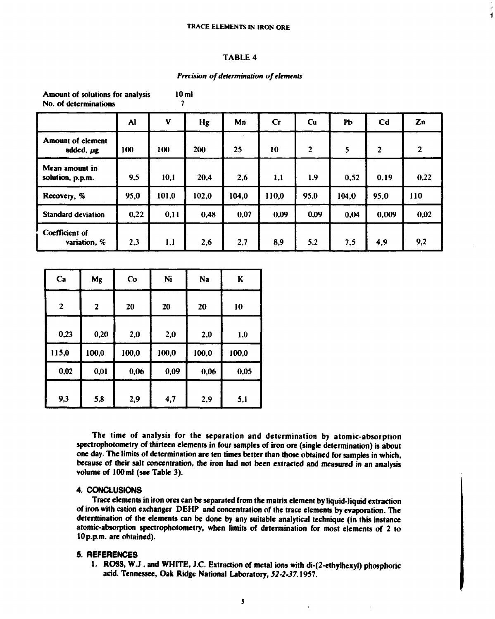#### **TRACE ELEMENTS IN IRON ORE**

### **TABLE 4**

### *Precision of determination of elements*

**Amount of solutions for analysis 10 ml No. of determinations** 

|                                            | <b>Al</b> | V     | Hg    | Mn    | Cr    | <b>Cu</b>               | Pb    | C <sub>d</sub> | Zn             |
|--------------------------------------------|-----------|-------|-------|-------|-------|-------------------------|-------|----------------|----------------|
| <b>Amount of element</b><br>added, $\mu$ g | 100       | 100   | 200   | 25    | 10    | $\overline{\mathbf{2}}$ | 5     | $\overline{2}$ | $\overline{2}$ |
| Mean amount in<br>solution, p.p.m.         | 9,5       | 10,1  | 20,4  | 2,6   | 1,1   | 1,9                     | 0,52  | 0,19           | 0,22           |
| Recovery, %                                | 95,0      | 101,0 | 102,0 | 104,0 | 110,0 | 95,0                    | 104,0 | 95,0           | 110            |
| <b>Standard deviation</b>                  | 0,22      | 0,11  | 0,48  | 0,07  | 0,09  | 0,09                    | 0,04  | 0,009          | 0,02           |
| Coefficient of<br>variation, %             | 2,3       | 1,1   | 2,6   | 2,7   | 8,9   | 5,2                     | 7,5   | 4,9            | 9,2            |

| Ca           | Mg                      | Co    | Ni    | Na    | K     |
|--------------|-------------------------|-------|-------|-------|-------|
| $\mathbf{2}$ | $\overline{\mathbf{2}}$ | 20    | 20    | 20    | 10    |
| 0,23         | 0,20                    | 2,0   | 2,0   | 2,0   | 1,0   |
| 115,0        | 100,0                   | 100,0 | 100,0 | 100,0 | 100,0 |
| 0,02         | 0,01                    | 0,06  | 0,09  | 0,06  | 0,05  |
| 9,3          | 5,8                     | 2,9   | 4,7   | 2,9   | 5,1   |

**The time of analysis for the separation and determination by atomic-absorption spectrophotometry of thirteen elements in four samples of iron ore (single determination) is about one day. The limits of determination are ten times better than those obtained for samples in which, because of their salt concentration, the iron had not been extracted and measured in an analysis volume of 100 ml (see Table 3).** 

# **4. CONCLUSIONS**

**Trace elements in iron ores can be separated from the matrix element by liquid-liquid extraction of iron with cation exchanger DEHP and concentration of the trace elements by evaporation. The determination of the elements can be done by any suitable analytical technique (in this instance atomic-absorption spectrophotometry, when limits of determination for most elements of 2 to 10 p.p.m. are obtained).** 

# **5. REFERENCES**

**1. ROSS, W.J , and WHITE, J.C. Extraction of metal ions with di-(2-ethylhexyl) phosphoric acid. Tennessee, Oak Ridge National Laboratory,** *52-2-37.***1957.**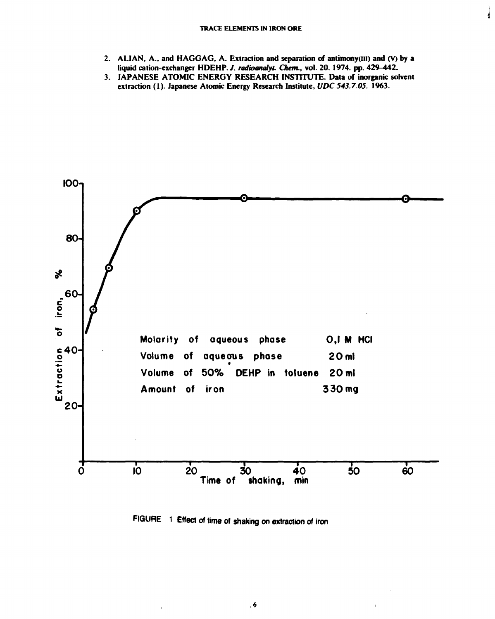#### **TRACE ELEMENTS IN IRON ORE**

**2. ALIAN, A., and HAGGAG, A. Extraction and separation of antimony(lil) and (V) by a liquid cation-exchanger HDEHP.** *J. radioanalyt. Chem.,* **vol. 20. 1974. pp. 429-442.** 

Ń

**3. JAPANESE ATOMIC ENERGY RESEARCH INSTITUTE. Data of inorganic solvent extraction (1). Japanese Atomic Energy Research Institute,** *U'DC 543.7.05.* **1963.** 



**FIGURE 1 Effect of time of shaking on extraction of iron**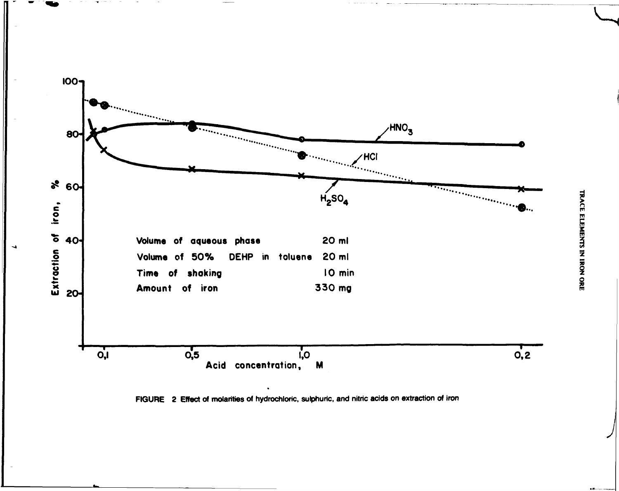

 $\rightarrow$ 

**FIGURE 2 Effect** of molarities of hydrochloric, sulphuric, and nitric acids on extraction of iron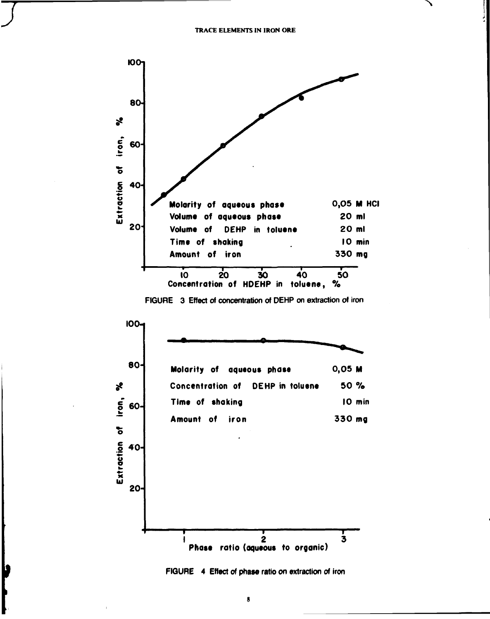

FIGURE 3 Effect of concentration of DEHP on extraction of iron





þ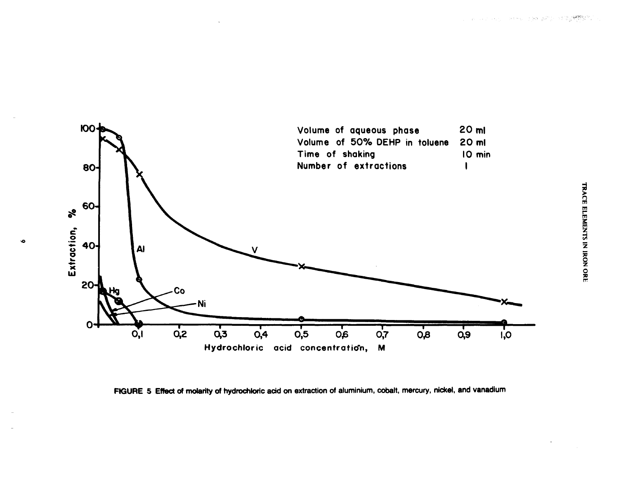

 $\bullet$ 

**FIGURE 5 Effect of molarity of hydrochloric acid on extraction of aluminium, cobalt, mercury, nickel, and vanadium**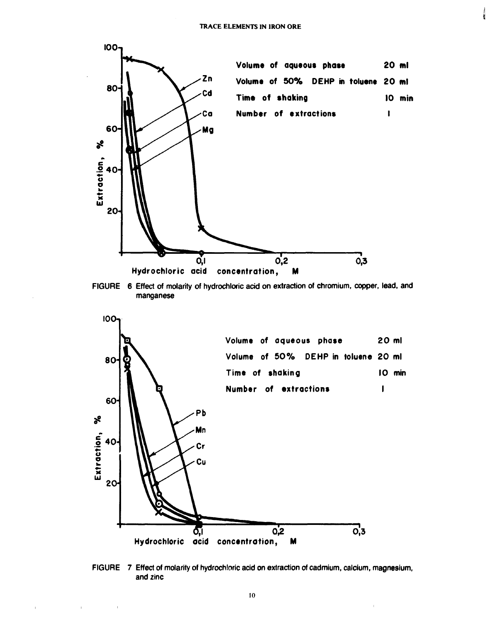





FIGURE 7 Effect of molarity of hydrochloric acid on extraction of cadmium, calcium, magnesium, and zinc

 $\bar{1}$ 

 $\mathbb{L}$ 

 $\hat{\mathbf{r}}$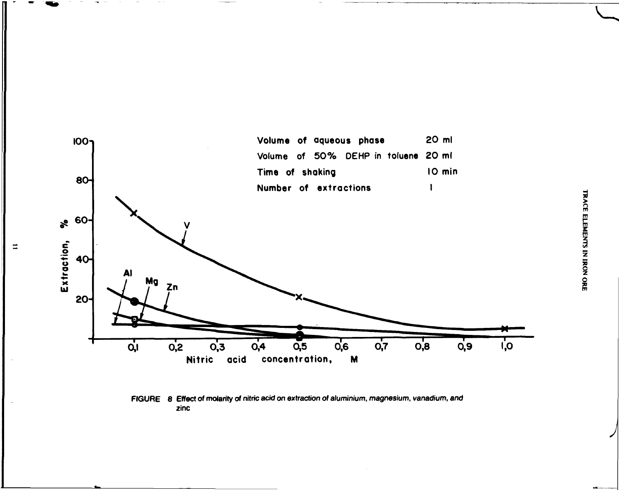

**FIGURE 8 Effect of molarity of nitric acid on extraction of aluminium, magnesium, vanadium, and zinc** 

**^**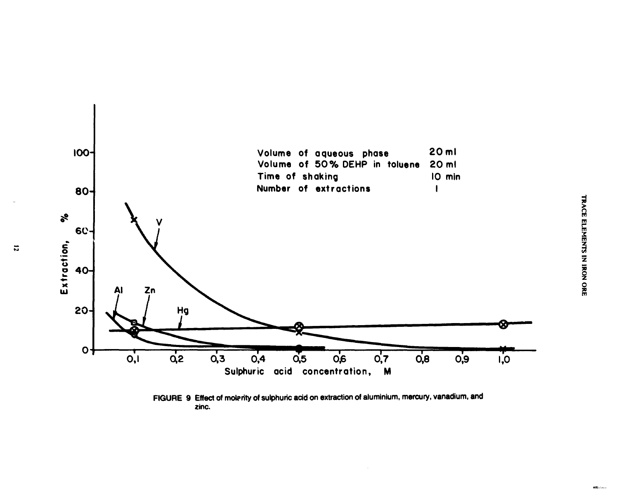

**FIGURE 9 Effect of molprity of sulphuric acid on extraction of aluminium, mercury, vanadium, and zinc.** 

 $\mathbf{r}$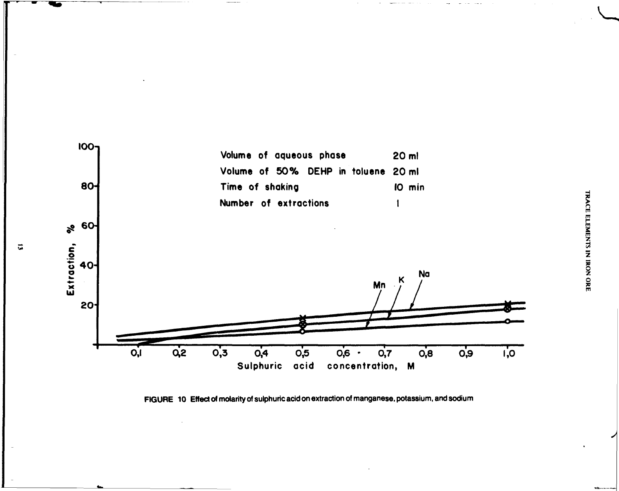

**FIGURE 10 Effect of molarity of sulphuric acid on extraction of manganese, potassium, and sodium**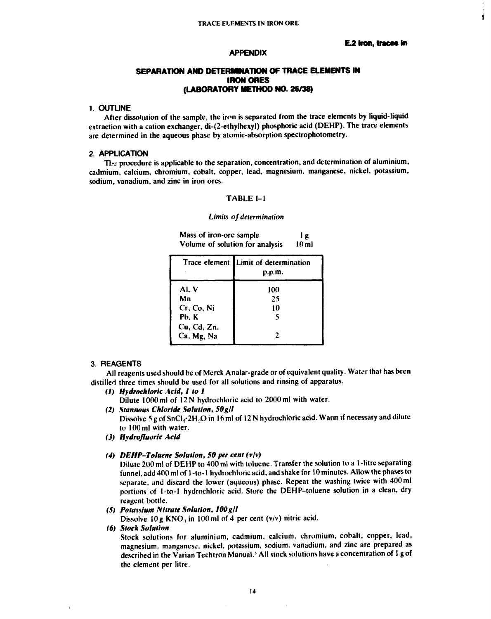À

# APPENDIX

# **SEPARATION AND DETERMINATION OF TRACE ELEMENTS IN IRON ORES (LABORATORY METHOD NO. 26/38)**

# 1. OUTLINE

**After dissolution of the sample, the iron is separated from the trace elements by liquid-liquid extraction with a cation exchanger, di-(2-ethylhexyl) phosphoric acid (DEHP). The trace elements are determined in the aqueous phase by atomic-absorption spectrophotometry.** 

### 2. APPLICATION

**Tlr; procedure is applicable to the separation, concentration, and determination of aluminium, cadmium, calcium, chromium, cobalt, copper, lead, magnesium, manganese, nickel, potassium, sodium, vanadium, and zinc in iron ores.** 

# **TABLE 1-1**

### *Limits of determination*

Mass of iron-ore sample 1 g **Volume of solution for analysis 10 ml** 

|                           | Trace element Limit of determination<br>p.p.m. |
|---------------------------|------------------------------------------------|
| Al, V                     | 100                                            |
| Mn                        | 25                                             |
| Cr, Co, Ni                | 10                                             |
| Pb. K                     | 5                                              |
| Cu, Cd, Zn,<br>Ca, Mg, Na |                                                |

# 3. REAGENTS

**All reagents used should be of Merck Analar-grade or of equivalent quality. Water that has been distilled three times should be used for all solutions and rinsing of apparatus.** 

*(1) Hydrochloric Acid, I to I* 

**Dilute 1000 ml of 12 N hydrochloric acid to 2000 ml with water.** 

*(2) Stannous Chloride Solution, 50g/l* 

Dissolve 5 g of SnCl<sub>2</sub>·2H<sub>2</sub>O in 16 ml of 12 N hydrochloric acid. Warm if necessary and dilute **to 100 ml with water.** 

*(3) Hydrofluoric Acid* 

### *(4) DEHP-Toluene Solution, SO per cent (vlv)*

**Dilute 200 ml of DEHP to 400 ml with toluene. Transfer the solution to a 1 -litre separating funnel, add 400 ml of 1 -to-1 hydrochloric acid, and shake for 10 minutes. Allow the phases to separate, and discard the lower (aqueous) phase. Repeat the washing twice with 400 ml portions of 1-to-l hydrochloric acid. Store the DEHP-toluene solution in a clean, dry reagent bottle.** 

### *(5) Potassium Nitrate Solution, 100 gll*

Dissolve 10g KNO<sub>3</sub> in 100 ml of 4 per cent (v/v) nitric acid.

### *(6) Slock Solution*

**Stock solutions for aluminium, cadmium, calcium, chromium, cobalt, copper, lead, magnesium, manganese, nickel, potassium, sodium, vanadium, and zinc are prepared as described in the Varian Techtron Manual. • All stock solutions have a concentration of 1 g of the clement per litre.**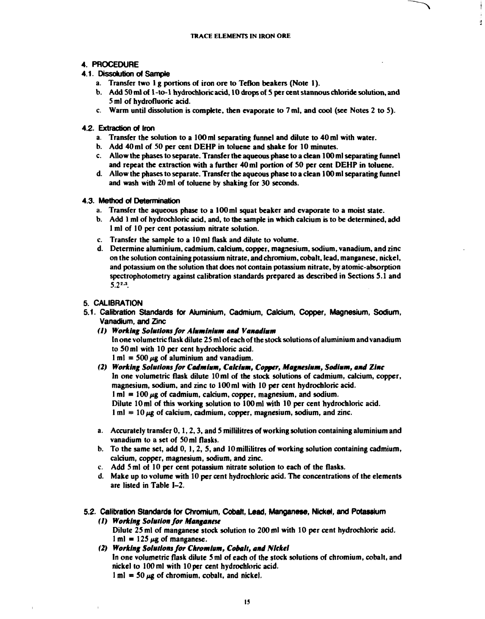ă,

# **4. PROCEDURE**

# **4.1. Dissolution of Sample**

- **a. Transfer two 1 g portions of iron ore to Teflon beakers (Note 1).**
- **b. Add SO ml of 1 -to-1 hydrochloric acid, 10 drops of S per cent stannous chloride solution, and 5 ml of hydrofluoric acid.**
- **c. Warm until dissolution is complete, then evaporate to 7 ml, and cool (see Notes 2 to 5).**

# **4.2. Extraction of Iron**

- **a. Transfer the solution to a 100 ml separating funnel and dilute to 40 ml with water.**
- **b. Add 40 ml of SO per cent DEHP in toluene and shake for 10 minutes.**
- **c. Allow the phases to separate. Transfer the aqueous phase to a clean 100 ml separating funnel and repeat the extraction with a further 40 ml portion of SO per cent DEHP in toluene.**
- **d. Allow the phases to separate. Transfer the aqueous phase to a clean 100 ml separating funnel and wash with 20 ml of toluene by shaking for 30 seconds.**

# **4.3. Method of Determination**

- **a. Transfer the aqueous phase to a 100 ml squat beaker and evaporate to a moist state.**
- **b. Add 1 ml of hydrochloric acid, and, to the sample in which calcium is to be determined, add 1 ml of 10 per cent potassium nitrate solution.**
- **c. Transfer the sample to a 10 ml flask and dilute to volume.**
- **d. Determine aluminium, cadmium, calcium, copper, magnesium, sodium, vanadium, and zinc on the solution containing potassium nitrate, and chromium, cobalt, lead, manganese, nickel, and potassium on the solution that does not contain potassium nitrate, by atomic-absorption spectrophotometry against calibration standards prepared as described in Sections 5.1 and 5.2".**

# **5. CALIBRATION**

- **5.1. Calibration Standards for Aluminium, Cadmium, Calcium, Copper, Magnesium, Sodium, Vanadium, and Zinc** 
	- *(1) Working Solutions for Aluminium and Vanadium*  **In one volumetric flask dilute 25 ml of each of the stock solutions of aluminium and vanadium to 50 ml with 10 per cent hydrochloric acid.**   $1 \text{ ml} = 500 \mu\text{g}$  of aluminium and vanadium.
	- *(2) Working Solutions for Cadmium, Calcium, Copper, Magnesium, Sodium, and Zinc*  **In one volumetric flask dilute 10 ml of the stock solutions of cadmium, calcium, copper, magnesium, sodium, and zinc to 100 ml with 10 per cent hydrochloric acid.**   $1 \text{ ml} = 100 \mu\text{g}$  of cadmium, calcium, copper, magnesium, and sodium. **Dilute 10ml of this working solution to 100ml with 10 per cent hydrochloric acid.**   $1 \text{ ml} = 10 \mu g$  of calcium, cadmium, copper, magnesium, sodium, and zinc.
	- **a. Accurately transfer 0,1,2,3, and 5 millilitres of working solution containing aluminium and vanadium to a set of 50 ml flasks.**
	- **b. To the same set, add 0,1,2, 5, and 10 millilitres of working solution containing cadmium, calcium, copper, magnesium, sodium, and zinc.**
	- **c. Add 5 ml of 10 per cent potassium nitrate solution to each of the flasks.**
	- **d. Make up to volume with 10 per cent hydrochloric acid. The concentrations of the elements are listed in Table 1-2.**
- **5.2. Calibration Standards for Chromium, Cobalt, Lead, Manganese, Nickel, and Potassium** 
	- *(1) Working Solution for Manganese*  **Dilute 25 ml of manganese stock solution to 200 ml with 10 per cent hydrochloric acid.**   $1 \text{ ml} = 125 \mu\text{g}$  of manganese.
	- *(2) Working Solutions for Chromium, Cobalt, and Nickel*  **In one volumetric flask dilute 5 ml of each of the stock solutions of chromium, cobalt, and nickel to 100 ml with 10 per cent hydrochloric acid.**   $1 \text{ m}$  = 50  $\mu$ g of chromium, cobalt, and nickel.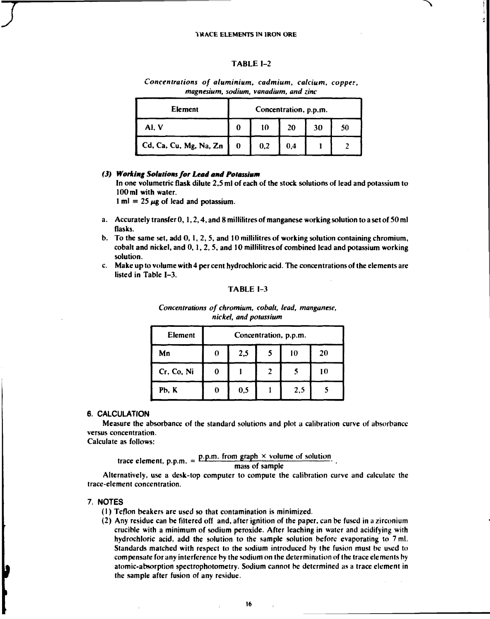### TABLE 1-2

| Element                | Concentration, p.p.m. |     |     |    |    |
|------------------------|-----------------------|-----|-----|----|----|
| AI. V                  |                       | 10  | 20  | 30 | 50 |
| Cd, Ca, Cu, Mg, Na, Zn |                       | 0,2 | 0.4 |    |    |

*Concentrations of aluminium, cadmium, calcium, copper, magnesium, sodium, vanadium, and zinc* 

# *(3) Working Solutions for Lead and Potassium*

In one volumetric flask dilute 2,5 ml of each of the stock solutions of lead and potassium to 100 ml with water.

1 ml = 25  $\mu$ g of lead and potassium.

- a. Accurately transfer 0,1,2,4, and 8 millilitres of manganese working solution to a set of 50 ml flasks.
- b. To the same set, add 0,1, 2,5, and 10 millilitres of working solution containing chromium, cobalt and nickel, and 0,1, 2,5, and 10 millilitres of combined lead and potassium working solution.
- c. Make up to volume with 4 per cent hydrochloric acid. The concentrations of the elements are listed in Table 1-3.

### TABLE 1-3

| Element    | Concentration, p.p.m. |     |  |     |    |  |  |  |
|------------|-----------------------|-----|--|-----|----|--|--|--|
| Mn         | 10<br>2,5<br>20<br>0  |     |  |     |    |  |  |  |
| Cr. Co, Ni | O                     |     |  |     | 10 |  |  |  |
| Pb, K      | 0                     | 0.5 |  | 2,5 |    |  |  |  |

*Concentrations of chromium, cobalt, lead, manganese, nickel, and potassium* 

# **6. CALCULATION**

Measure the absorbancc of the standard solutions and plot a calibration curve of absorbance versus concentration.

Calculate as follows:

trace element, p.p.m.  $= \frac{\text{p.p.m. from graph} \times \text{volume of solution}}{\text{mean of normal}}$ .

## mass of sample

Alternatively, use a desk-top computer to compute the calibration curve and calculate the trace-element concentration.

### **7. NOTES**

þ

- (1) Teflon beakers are used so that contamination is minimized.
- (2) Any residue can be filtered off and, after ignition of the paper, can be fused in a zirconium crucible with a minimum of sodium peroxide. After leaching in water and acidifying with hydrochloric acid, add the solution to the sample solution before evaporating to 7 ml. Standards matched with respect to the sodium introduced hy the fusion must be used to compensate for any interference by the sodium on the determination of the trace elements by atomic-absorption spectrophotometry. Sodium cannot be determined as a trace element in the sample after fusion of any residue.

**16**